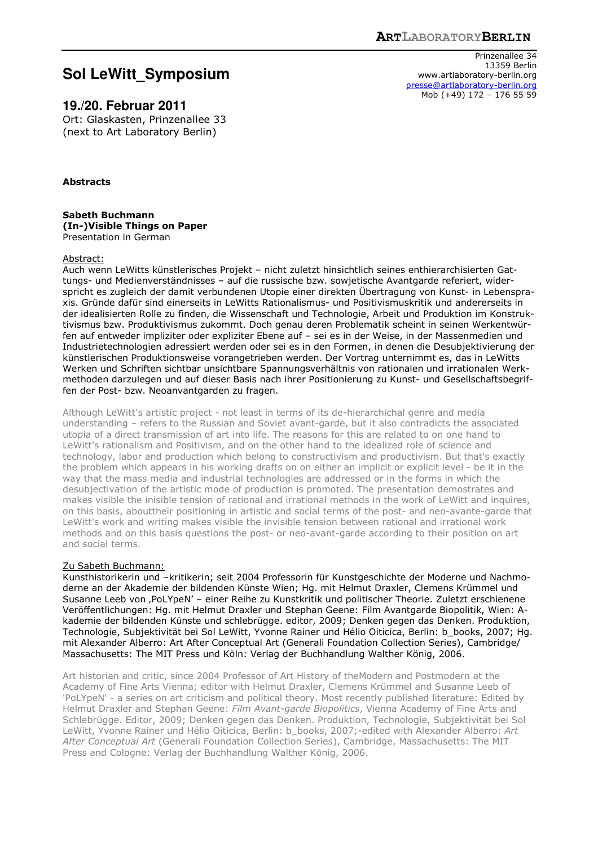# **Sol LeWitt\_Symposium**

**19./20. Februar 2011** 

Ort: Glaskasten, Prinzenallee 33 (next to Art Laboratory Berlin)

**Abstracts** 

**Sabeth Buchmann (In-)Visible Things on Paper** Presentation in German

#### Abstract:

Auch wenn LeWitts künstlerisches Projekt – nicht zuletzt hinsichtlich seines enthierarchisierten Gattungs- und Medienverständnisses – auf die russische bzw. sowjetische Avantgarde referiert, widerspricht es zugleich der damit verbundenen Utopie einer direkten Übertragung von Kunst- in Lebenspraxis. Gründe dafür sind einerseits in LeWitts Rationalismus- und Positivismuskritik und andererseits in der idealisierten Rolle zu finden, die Wissenschaft und Technologie, Arbeit und Produktion im Konstruktivismus bzw. Produktivismus zukommt. Doch genau deren Problematik scheint in seinen Werkentwürfen auf entweder impliziter oder expliziter Ebene auf – sei es in der Weise, in der Massenmedien und Industrietechnologien adressiert werden oder sei es in den Formen, in denen die Desubjektivierung der künstlerischen Produktionsweise vorangetrieben werden. Der Vortrag unternimmt es, das in LeWitts Werken und Schriften sichtbar unsichtbare Spannungsverhältnis von rationalen und irrationalen Werkmethoden darzulegen und auf dieser Basis nach ihrer Positionierung zu Kunst- und Gesellschaftsbegriffen der Post- bzw. Neoanvantgarden zu fragen.

Although LeWitt's artistic project - not least in terms of its de-hierarchichal genre and media understanding – refers to the Russian and Soviet avant-garde, but it also contradicts the associated utopia of a direct transmission of art into life. The reasons for this are related to on one hand to LeWitt's rationalism and Positivism, and on the other hand to the idealized role of science and technology, labor and production which belong to constructivism and productivism. But that's exactly the problem which appears in his working drafts on on either an implicit or explicit level - be it in the way that the mass media and industrial technologies are addressed or in the forms in which the desubjectivation of the artistic mode of production is promoted. The presentation demostrates and makes visible the inisible tension of rational and irrational methods in the work of LeWitt and inquires, on this basis, abouttheir positioning in artistic and social terms of the post- and neo-avante-garde that LeWitt's work and writing makes visible the invisible tension between rational and irrational work methods and on this basis questions the post- or neo-avant-garde according to their position on art and social terms.

# Zu Sabeth Buchmann:

Kunsthistorikerin und –kritikerin; seit 2004 Professorin für Kunstgeschichte der Moderne und Nachmoderne an der Akademie der bildenden Künste Wien; Hg. mit Helmut Draxler, Clemens Krümmel und Susanne Leeb von ,PoLYpeN' - einer Reihe zu Kunstkritik und politischer Theorie. Zuletzt erschienene Veröffentlichungen: Hg. mit Helmut Draxler und Stephan Geene: Film Avantgarde Biopolitik, Wien: Akademie der bildenden Künste und schlebrügge. editor, 2009; Denken gegen das Denken. Produktion, Technologie, Subjektivität bei Sol LeWitt, Yvonne Rainer und Hélio Oiticica, Berlin: b\_books, 2007; Hg. mit Alexander Alberro: Art After Conceptual Art (Generali Foundation Collection Series), Cambridge/ Massachusetts: The MIT Press und Köln: Verlag der Buchhandlung Walther König, 2006.

Art historian and critic, since 2004 Professor of Art History of theModern and Postmodern at the Academy of Fine Arts Vienna; editor with Helmut Draxler, Clemens Krümmel and Susanne Leeb of 'PoLYpeN' - a series on art criticism and political theory. Most recently published literature: Edited by Helmut Draxler and Stephan Geene: *Film Avant-garde Biopolitics*, Vienna Academy of Fine Arts and Schlebrügge. Editor, 2009; Denken gegen das Denken. Produktion, Technologie, Subjektivität bei Sol LeWitt, Yvonne Rainer und Hélio Oiticica, Berlin: b\_books, 2007;-edited with Alexander Alberro: *Art After Conceptual Art* (Generali Foundation Collection Series), Cambridge, Massachusetts: The MIT Press and Cologne: Verlag der Buchhandlung Walther König, 2006.

Prinzenallee 34 13359 Berlin www.artlaboratory-berlin.org presse@artlaboratory-berlin.org Mob (+49) 172 – 176 55 59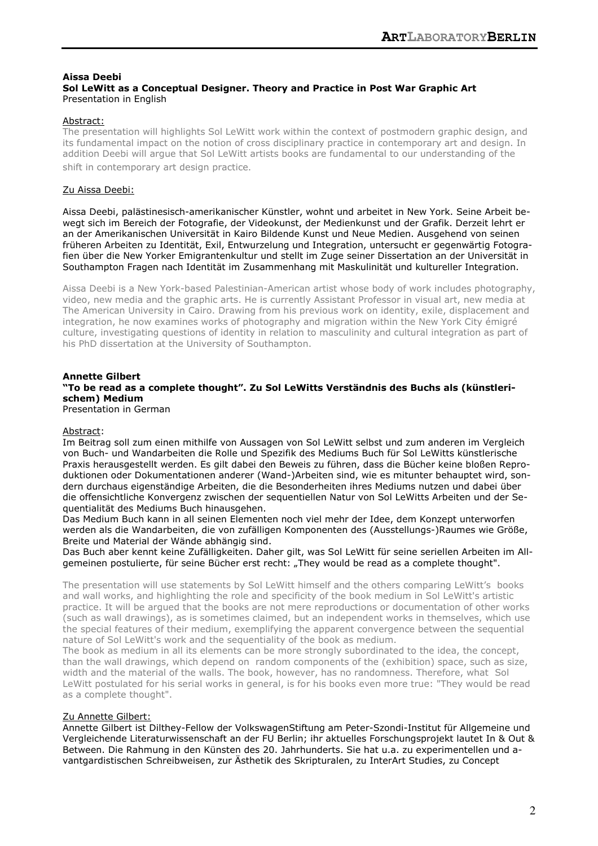# **Aissa Deebi**

# **Sol LeWitt as a Conceptual Designer. Theory and Practice in Post War Graphic Art** Presentation in English

# Abstract:

The presentation will highlights Sol LeWitt work within the context of postmodern graphic design, and its fundamental impact on the notion of cross disciplinary practice in contemporary art and design. In addition Deebi will argue that Sol LeWitt artists books are fundamental to our understanding of the shift in contemporary art design practice.

# Zu Aissa Deebi:

Aissa Deebi, palästinesisch-amerikanischer Künstler, wohnt und arbeitet in New York. Seine Arbeit bewegt sich im Bereich der Fotografie, der Videokunst, der Medienkunst und der Grafik. Derzeit lehrt er an der Amerikanischen Universität in Kairo Bildende Kunst und Neue Medien. Ausgehend von seinen früheren Arbeiten zu Identität, Exil, Entwurzelung und Integration, untersucht er gegenwärtig Fotografien über die New Yorker Emigrantenkultur und stellt im Zuge seiner Dissertation an der Universität in Southampton Fragen nach Identität im Zusammenhang mit Maskulinität und kultureller Integration.

Aissa Deebi is a New York-based Palestinian-American artist whose body of work includes photography, video, new media and the graphic arts. He is currently Assistant Professor in visual art, new media at The American University in Cairo. Drawing from his previous work on identity, exile, displacement and integration, he now examines works of photography and migration within the New York City émigré culture, investigating questions of identity in relation to masculinity and cultural integration as part of his PhD dissertation at the University of Southampton.

#### **Annette Gilbert "To be read as a complete thought". Zu Sol LeWitts Verständnis des Buchs als (künstlerischem) Medium** Presentation in German

# Abstract:

Im Beitrag soll zum einen mithilfe von Aussagen von Sol LeWitt selbst und zum anderen im Vergleich von Buch- und Wandarbeiten die Rolle und Spezifik des Mediums Buch für Sol LeWitts künstlerische Praxis herausgestellt werden. Es gilt dabei den Beweis zu führen, dass die Bücher keine bloßen Reproduktionen oder Dokumentationen anderer (Wand-)Arbeiten sind, wie es mitunter behauptet wird, sondern durchaus eigenständige Arbeiten, die die Besonderheiten ihres Mediums nutzen und dabei über die offensichtliche Konvergenz zwischen der sequentiellen Natur von Sol LeWitts Arbeiten und der Sequentialität des Mediums Buch hinausgehen.

Das Medium Buch kann in all seinen Elementen noch viel mehr der Idee, dem Konzept unterworfen werden als die Wandarbeiten, die von zufälligen Komponenten des (Ausstellungs-)Raumes wie Größe, Breite und Material der Wände abhängig sind.

Das Buch aber kennt keine Zufälligkeiten. Daher gilt, was Sol LeWitt für seine seriellen Arbeiten im Allgemeinen postulierte, für seine Bücher erst recht: "They would be read as a complete thought".

The presentation will use statements by Sol LeWitt himself and the others comparing LeWitt's books and wall works, and highlighting the role and specificity of the book medium in Sol LeWitt's artistic practice. It will be argued that the books are not mere reproductions or documentation of other works (such as wall drawings), as is sometimes claimed, but an independent works in themselves, which use the special features of their medium, exemplifying the apparent convergence between the sequential nature of Sol LeWitt's work and the sequentiality of the book as medium.

The book as medium in all its elements can be more strongly subordinated to the idea, the concept, than the wall drawings, which depend on random components of the (exhibition) space, such as size, width and the material of the walls. The book, however, has no randomness. Therefore, what Sol LeWitt postulated for his serial works in general, is for his books even more true: "They would be read as a complete thought".

# Zu Annette Gilbert:

Annette Gilbert ist Dilthey-Fellow der VolkswagenStiftung am Peter-Szondi-Institut für Allgemeine und Vergleichende Literaturwissenschaft an der FU Berlin; ihr aktuelles Forschungsprojekt lautet In & Out & Between. Die Rahmung in den Künsten des 20. Jahrhunderts. Sie hat u.a. zu experimentellen und avantgardistischen Schreibweisen, zur Ästhetik des Skripturalen, zu InterArt Studies, zu Concept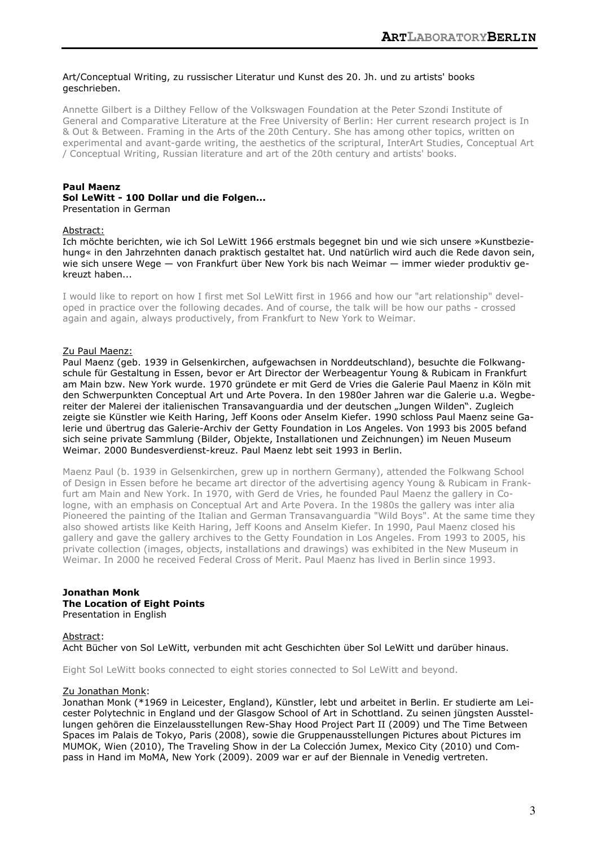# Art/Conceptual Writing, zu russischer Literatur und Kunst des 20. Jh. und zu artists' books geschrieben.

Annette Gilbert is a Dilthey Fellow of the Volkswagen Foundation at the Peter Szondi Institute of General and Comparative Literature at the Free University of Berlin: Her current research project is In & Out & Between. Framing in the Arts of the 20th Century. She has among other topics, written on experimental and avant-garde writing, the aesthetics of the scriptural, InterArt Studies, Conceptual Art / Conceptual Writing, Russian literature and art of the 20th century and artists' books.

# **Paul Maenz**

#### **Sol LeWitt - 100 Dollar und die Folgen...** Presentation in German

#### Abstract:

Ich möchte berichten, wie ich Sol LeWitt 1966 erstmals begegnet bin und wie sich unsere »Kunstbeziehung« in den Jahrzehnten danach praktisch gestaltet hat. Und natürlich wird auch die Rede davon sein, wie sich unsere Wege — von Frankfurt über New York bis nach Weimar — immer wieder produktiv gekreuzt haben...

I would like to report on how I first met Sol LeWitt first in 1966 and how our "art relationship" developed in practice over the following decades. And of course, the talk will be how our paths - crossed again and again, always productively, from Frankfurt to New York to Weimar.

#### Zu Paul Maenz:

Paul Maenz (geb. 1939 in Gelsenkirchen, aufgewachsen in Norddeutschland), besuchte die Folkwangschule für Gestaltung in Essen, bevor er Art Director der Werbeagentur Young & Rubicam in Frankfurt am Main bzw. New York wurde. 1970 gründete er mit Gerd de Vries die Galerie Paul Maenz in Köln mit den Schwerpunkten Conceptual Art und Arte Povera. In den 1980er Jahren war die Galerie u.a. Wegbereiter der Malerei der italienischen Transavanguardia und der deutschen "Jungen Wilden". Zugleich zeigte sie Künstler wie Keith Haring, Jeff Koons oder Anselm Kiefer. 1990 schloss Paul Maenz seine Galerie und übertrug das Galerie-Archiv der Getty Foundation in Los Angeles. Von 1993 bis 2005 befand sich seine private Sammlung (Bilder, Objekte, Installationen und Zeichnungen) im Neuen Museum Weimar. 2000 Bundesverdienst-kreuz. Paul Maenz lebt seit 1993 in Berlin.

Maenz Paul (b. 1939 in Gelsenkirchen, grew up in northern Germany), attended the Folkwang School of Design in Essen before he became art director of the advertising agency Young & Rubicam in Frankfurt am Main and New York. In 1970, with Gerd de Vries, he founded Paul Maenz the gallery in Cologne, with an emphasis on Conceptual Art and Arte Povera. In the 1980s the gallery was inter alia Pioneered the painting of the Italian and German Transavanguardia "Wild Boys". At the same time they also showed artists like Keith Haring, Jeff Koons and Anselm Kiefer. In 1990, Paul Maenz closed his gallery and gave the gallery archives to the Getty Foundation in Los Angeles. From 1993 to 2005, his private collection (images, objects, installations and drawings) was exhibited in the New Museum in Weimar. In 2000 he received Federal Cross of Merit. Paul Maenz has lived in Berlin since 1993.

#### **Jonathan Monk The Location of Eight Points** Presentation in English

#### Abstract:

Acht Bücher von Sol LeWitt, verbunden mit acht Geschichten über Sol LeWitt und darüber hinaus.

Eight Sol LeWitt books connected to eight stories connected to Sol LeWitt and beyond.

#### Zu Jonathan Monk:

Jonathan Monk (\*1969 in Leicester, England), Künstler, lebt und arbeitet in Berlin. Er studierte am Leicester Polytechnic in England und der Glasgow School of Art in Schottland. Zu seinen jüngsten Ausstellungen gehören die Einzelausstellungen Rew-Shay Hood Project Part II (2009) und The Time Between Spaces im Palais de Tokyo, Paris (2008), sowie die Gruppenausstellungen Pictures about Pictures im MUMOK, Wien (2010), The Traveling Show in der La Colección Jumex, Mexico City (2010) und Compass in Hand im MoMA, New York (2009). 2009 war er auf der Biennale in Venedig vertreten.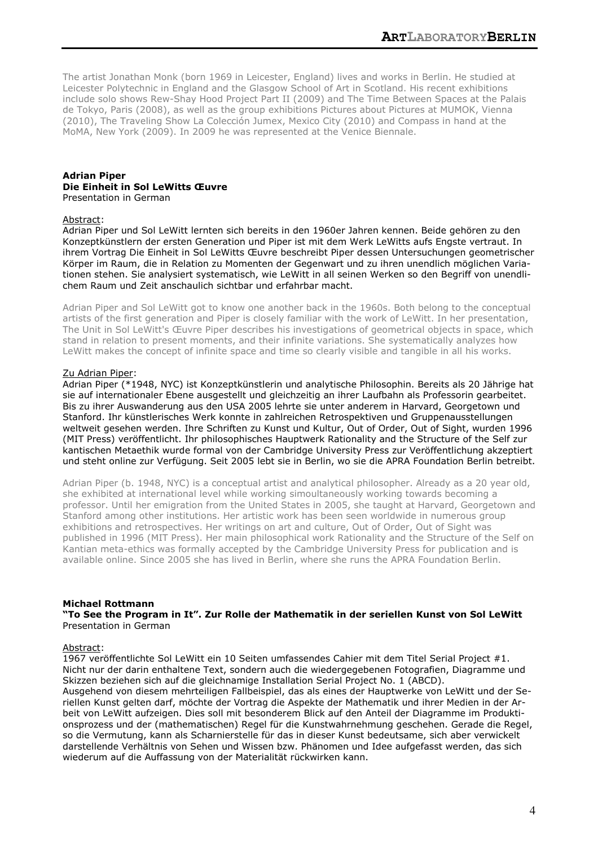The artist Jonathan Monk (born 1969 in Leicester, England) lives and works in Berlin. He studied at Leicester Polytechnic in England and the Glasgow School of Art in Scotland. His recent exhibitions include solo shows Rew-Shay Hood Project Part II (2009) and The Time Between Spaces at the Palais de Tokyo, Paris (2008), as well as the group exhibitions Pictures about Pictures at MUMOK, Vienna (2010), The Traveling Show La Colección Jumex, Mexico City (2010) and Compass in hand at the MoMA, New York (2009). In 2009 he was represented at the Venice Biennale.

#### **Adrian Piper Die Einheit in Sol LeWitts Œuvre** Presentation in German

#### Abstract:

Adrian Piper und Sol LeWitt lernten sich bereits in den 1960er Jahren kennen. Beide gehören zu den Konzeptkünstlern der ersten Generation und Piper ist mit dem Werk LeWitts aufs Engste vertraut. In ihrem Vortrag Die Einheit in Sol LeWitts Œuvre beschreibt Piper dessen Untersuchungen geometrischer Körper im Raum, die in Relation zu Momenten der Gegenwart und zu ihren unendlich möglichen Variationen stehen. Sie analysiert systematisch, wie LeWitt in all seinen Werken so den Begriff von unendlichem Raum und Zeit anschaulich sichtbar und erfahrbar macht.

Adrian Piper and Sol LeWitt got to know one another back in the 1960s. Both belong to the conceptual artists of the first generation and Piper is closely familiar with the work of LeWitt. In her presentation, The Unit in Sol LeWitt's Œuvre Piper describes his investigations of geometrical objects in space, which stand in relation to present moments, and their infinite variations. She systematically analyzes how LeWitt makes the concept of infinite space and time so clearly visible and tangible in all his works.

#### Zu Adrian Piper:

Adrian Piper (\*1948, NYC) ist Konzeptkünstlerin und analytische Philosophin. Bereits als 20 Jährige hat sie auf internationaler Ebene ausgestellt und gleichzeitig an ihrer Laufbahn als Professorin gearbeitet. Bis zu ihrer Auswanderung aus den USA 2005 lehrte sie unter anderem in Harvard, Georgetown und Stanford. Ihr künstlerisches Werk konnte in zahlreichen Retrospektiven und Gruppenausstellungen weltweit gesehen werden. Ihre Schriften zu Kunst und Kultur, Out of Order, Out of Sight, wurden 1996 (MIT Press) veröffentlicht. Ihr philosophisches Hauptwerk Rationality and the Structure of the Self zur kantischen Metaethik wurde formal von der Cambridge University Press zur Veröffentlichung akzeptiert und steht online zur Verfügung. Seit 2005 lebt sie in Berlin, wo sie die APRA Foundation Berlin betreibt.

Adrian Piper (b. 1948, NYC) is a conceptual artist and analytical philosopher. Already as a 20 year old, she exhibited at international level while working simoultaneously working towards becoming a professor. Until her emigration from the United States in 2005, she taught at Harvard, Georgetown and Stanford among other institutions. Her artistic work has been seen worldwide in numerous group exhibitions and retrospectives. Her writings on art and culture, Out of Order, Out of Sight was published in 1996 (MIT Press). Her main philosophical work Rationality and the Structure of the Self on Kantian meta-ethics was formally accepted by the Cambridge University Press for publication and is available online. Since 2005 she has lived in Berlin, where she runs the APRA Foundation Berlin.

# **Michael Rottmann**

**"To See the Program in It". Zur Rolle der Mathematik in der seriellen Kunst von Sol LeWitt** Presentation in German

#### Abstract:

1967 veröffentlichte Sol LeWitt ein 10 Seiten umfassendes Cahier mit dem Titel Serial Project #1. Nicht nur der darin enthaltene Text, sondern auch die wiedergegebenen Fotografien, Diagramme und Skizzen beziehen sich auf die gleichnamige Installation Serial Project No. 1 (ABCD).

Ausgehend von diesem mehrteiligen Fallbeispiel, das als eines der Hauptwerke von LeWitt und der Seriellen Kunst gelten darf, möchte der Vortrag die Aspekte der Mathematik und ihrer Medien in der Arbeit von LeWitt aufzeigen. Dies soll mit besonderem Blick auf den Anteil der Diagramme im Produktionsprozess und der (mathematischen) Regel für die Kunstwahrnehmung geschehen. Gerade die Regel, so die Vermutung, kann als Scharnierstelle für das in dieser Kunst bedeutsame, sich aber verwickelt darstellende Verhältnis von Sehen und Wissen bzw. Phänomen und Idee aufgefasst werden, das sich wiederum auf die Auffassung von der Materialität rückwirken kann.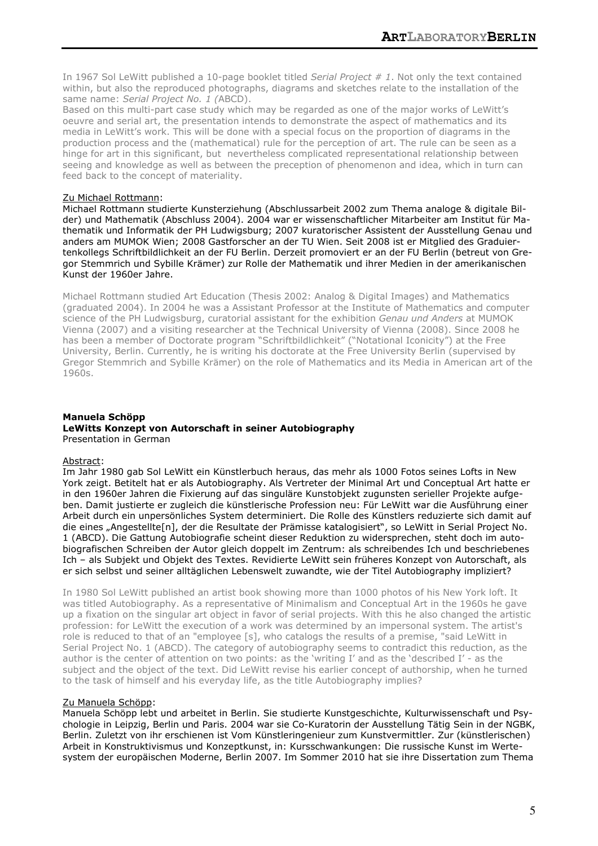In 1967 Sol LeWitt published a 10-page booklet titled *Serial Project # 1*. Not only the text contained within, but also the reproduced photographs, diagrams and sketches relate to the installation of the same name: *Serial Project No. 1 (*ABCD).

Based on this multi-part case study which may be regarded as one of the major works of LeWitt's oeuvre and serial art, the presentation intends to demonstrate the aspect of mathematics and its media in LeWitt's work. This will be done with a special focus on the proportion of diagrams in the production process and the (mathematical) rule for the perception of art. The rule can be seen as a hinge for art in this significant, but nevertheless complicated representational relationship between seeing and knowledge as well as between the preception of phenomenon and idea, which in turn can feed back to the concept of materiality.

# Zu Michael Rottmann:

Michael Rottmann studierte Kunsterziehung (Abschlussarbeit 2002 zum Thema analoge & digitale Bilder) und Mathematik (Abschluss 2004). 2004 war er wissenschaftlicher Mitarbeiter am Institut für Mathematik und Informatik der PH Ludwigsburg; 2007 kuratorischer Assistent der Ausstellung Genau und anders am MUMOK Wien; 2008 Gastforscher an der TU Wien. Seit 2008 ist er Mitglied des Graduiertenkollegs Schriftbildlichkeit an der FU Berlin. Derzeit promoviert er an der FU Berlin (betreut von Gregor Stemmrich und Sybille Krämer) zur Rolle der Mathematik und ihrer Medien in der amerikanischen Kunst der 1960er Jahre.

Michael Rottmann studied Art Education (Thesis 2002: Analog & Digital Images) and Mathematics (graduated 2004). In 2004 he was a Assistant Professor at the Institute of Mathematics and computer science of the PH Ludwigsburg, curatorial assistant for the exhibition *Genau und Anders* at MUMOK Vienna (2007) and a visiting researcher at the Technical University of Vienna (2008). Since 2008 he has been a member of Doctorate program "Schriftbildlichkeit" ("Notational Iconicity") at the Free University, Berlin. Currently, he is writing his doctorate at the Free University Berlin (supervised by Gregor Stemmrich and Sybille Krämer) on the role of Mathematics and its Media in American art of the 1960s.

#### **Manuela Schöpp LeWitts Konzept von Autorschaft in seiner Autobiography** Presentation in German

# Abstract:

Im Jahr 1980 gab Sol LeWitt ein Künstlerbuch heraus, das mehr als 1000 Fotos seines Lofts in New York zeigt. Betitelt hat er als Autobiography. Als Vertreter der Minimal Art und Conceptual Art hatte er in den 1960er Jahren die Fixierung auf das singuläre Kunstobjekt zugunsten serieller Projekte aufgeben. Damit justierte er zugleich die künstlerische Profession neu: Für LeWitt war die Ausführung einer Arbeit durch ein unpersönliches System determiniert. Die Rolle des Künstlers reduzierte sich damit auf die eines "Angestellte[n], der die Resultate der Prämisse katalogisiert", so LeWitt in Serial Project No. 1 (ABCD). Die Gattung Autobiografie scheint dieser Reduktion zu widersprechen, steht doch im autobiografischen Schreiben der Autor gleich doppelt im Zentrum: als schreibendes Ich und beschriebenes Ich – als Subjekt und Objekt des Textes. Revidierte LeWitt sein früheres Konzept von Autorschaft, als er sich selbst und seiner alltäglichen Lebenswelt zuwandte, wie der Titel Autobiography impliziert?

In 1980 Sol LeWitt published an artist book showing more than 1000 photos of his New York loft. It was titled Autobiography. As a representative of Minimalism and Conceptual Art in the 1960s he gave up a fixation on the singular art object in favor of serial projects. With this he also changed the artistic profession: for LeWitt the execution of a work was determined by an impersonal system. The artist's role is reduced to that of an "employee [s], who catalogs the results of a premise, "said LeWitt in Serial Project No. 1 (ABCD). The category of autobiography seems to contradict this reduction, as the author is the center of attention on two points: as the 'writing I' and as the 'described I' - as the subject and the object of the text. Did LeWitt revise his earlier concept of authorship, when he turned to the task of himself and his everyday life, as the title Autobiography implies?

# Zu Manuela Schöpp:

Manuela Schöpp lebt und arbeitet in Berlin. Sie studierte Kunstgeschichte, Kulturwissenschaft und Psychologie in Leipzig, Berlin und Paris. 2004 war sie Co-Kuratorin der Ausstellung Tätig Sein in der NGBK, Berlin. Zuletzt von ihr erschienen ist Vom Künstleringenieur zum Kunstvermittler. Zur (künstlerischen) Arbeit in Konstruktivismus und Konzeptkunst, in: Kursschwankungen: Die russische Kunst im Wertesystem der europäischen Moderne, Berlin 2007. Im Sommer 2010 hat sie ihre Dissertation zum Thema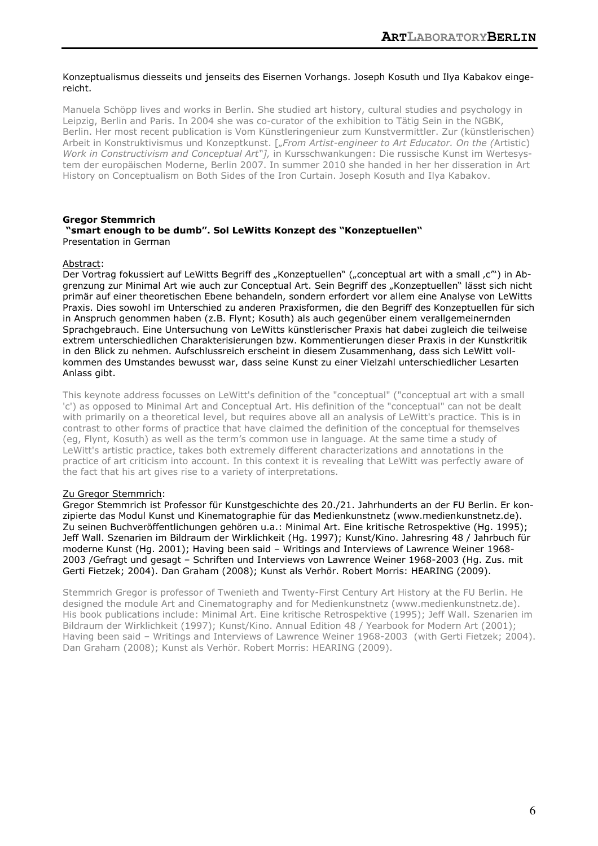#### Konzeptualismus diesseits und jenseits des Eisernen Vorhangs. Joseph Kosuth und Ilya Kabakov eingereicht.

Manuela Schöpp lives and works in Berlin. She studied art history, cultural studies and psychology in Leipzig, Berlin and Paris. In 2004 she was co-curator of the exhibition to Tätig Sein in the NGBK, Berlin. Her most recent publication is Vom Künstleringenieur zum Kunstvermittler. Zur (künstlerischen) Arbeit in Konstruktivismus und Konzeptkunst. ["*From Artist-engineer to Art Educator. On the (*Artistic) *Work in Constructivism and Conceptual Art"],* in Kursschwankungen: Die russische Kunst im Wertesystem der europäischen Moderne, Berlin 2007. In summer 2010 she handed in her her disseration in Art History on Conceptualism on Both Sides of the Iron Curtain. Joseph Kosuth and Ilya Kabakov.

# **Gregor Stemmrich**

#### **"smart enough to be dumb". Sol LeWitts Konzept des "Konzeptuellen"** Presentation in German

#### Abstract:

Der Vortrag fokussiert auf LeWitts Begriff des "Konzeptuellen" ("conceptual art with a small ,c") in Abgrenzung zur Minimal Art wie auch zur Conceptual Art. Sein Begriff des "Konzeptuellen" lässt sich nicht primär auf einer theoretischen Ebene behandeln, sondern erfordert vor allem eine Analyse von LeWitts Praxis. Dies sowohl im Unterschied zu anderen Praxisformen, die den Begriff des Konzeptuellen für sich in Anspruch genommen haben (z.B. Flynt; Kosuth) als auch gegenüber einem verallgemeinernden Sprachgebrauch. Eine Untersuchung von LeWitts künstlerischer Praxis hat dabei zugleich die teilweise extrem unterschiedlichen Charakterisierungen bzw. Kommentierungen dieser Praxis in der Kunstkritik in den Blick zu nehmen. Aufschlussreich erscheint in diesem Zusammenhang, dass sich LeWitt vollkommen des Umstandes bewusst war, dass seine Kunst zu einer Vielzahl unterschiedlicher Lesarten Anlass gibt.

This keynote address focusses on LeWitt's definition of the "conceptual" ("conceptual art with a small 'c') as opposed to Minimal Art and Conceptual Art. His definition of the "conceptual" can not be dealt with primarily on a theoretical level, but requires above all an analysis of LeWitt's practice. This is in contrast to other forms of practice that have claimed the definition of the conceptual for themselves (eg, Flynt, Kosuth) as well as the term's common use in language. At the same time a study of LeWitt's artistic practice, takes both extremely different characterizations and annotations in the practice of art criticism into account. In this context it is revealing that LeWitt was perfectly aware of the fact that his art gives rise to a variety of interpretations.

# Zu Gregor Stemmrich:

Gregor Stemmrich ist Professor für Kunstgeschichte des 20./21. Jahrhunderts an der FU Berlin. Er konzipierte das Modul Kunst und Kinematographie für das Medienkunstnetz (www.medienkunstnetz.de). Zu seinen Buchveröffentlichungen gehören u.a.: Minimal Art. Eine kritische Retrospektive (Hg. 1995); Jeff Wall. Szenarien im Bildraum der Wirklichkeit (Hg. 1997); Kunst/Kino. Jahresring 48 / Jahrbuch für moderne Kunst (Hg. 2001); Having been said – Writings and Interviews of Lawrence Weiner 1968- 2003 /Gefragt und gesagt – Schriften und Interviews von Lawrence Weiner 1968-2003 (Hg. Zus. mit Gerti Fietzek; 2004). Dan Graham (2008); Kunst als Verhör. Robert Morris: HEARING (2009).

Stemmrich Gregor is professor of Twenieth and Twenty-First Century Art History at the FU Berlin. He designed the module Art and Cinematography and for Medienkunstnetz (www.medienkunstnetz.de). His book publications include: Minimal Art. Eine kritische Retrospektive (1995); Jeff Wall. Szenarien im Bildraum der Wirklichkeit (1997); Kunst/Kino. Annual Edition 48 / Yearbook for Modern Art (2001); Having been said – Writings and Interviews of Lawrence Weiner 1968-2003 (with Gerti Fietzek; 2004). Dan Graham (2008); Kunst als Verhör. Robert Morris: HEARING (2009).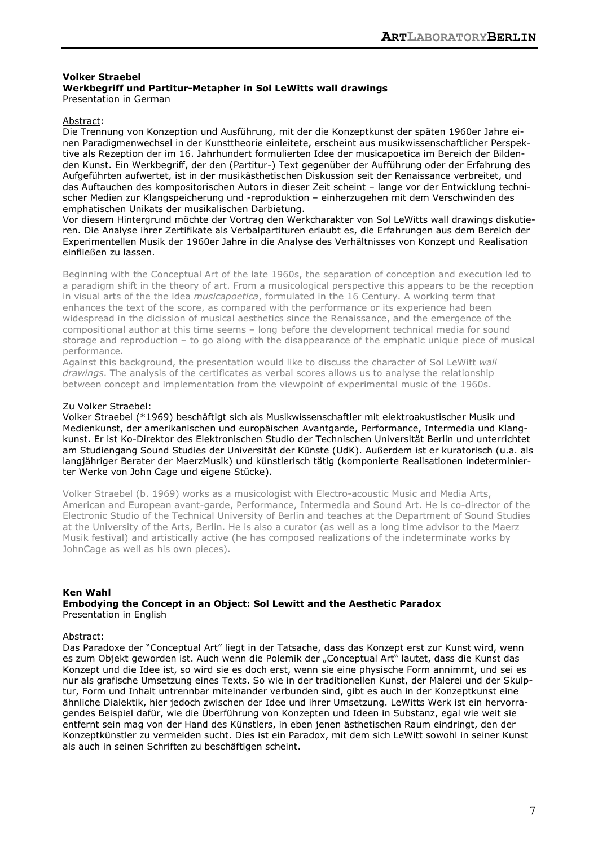#### **Volker Straebel Werkbegriff und Partitur-Metapher in Sol LeWitts wall drawings**  Presentation in German

Abstract:

Die Trennung von Konzeption und Ausführung, mit der die Konzeptkunst der späten 1960er Jahre einen Paradigmenwechsel in der Kunsttheorie einleitete, erscheint aus musikwissenschaftlicher Perspektive als Rezeption der im 16. Jahrhundert formulierten Idee der musicapoetica im Bereich der Bildenden Kunst. Ein Werkbegriff, der den (Partitur-) Text gegenüber der Aufführung oder der Erfahrung des Aufgeführten aufwertet, ist in der musikästhetischen Diskussion seit der Renaissance verbreitet, und das Auftauchen des kompositorischen Autors in dieser Zeit scheint – lange vor der Entwicklung technischer Medien zur Klangspeicherung und -reproduktion – einherzugehen mit dem Verschwinden des emphatischen Unikats der musikalischen Darbietung.

Vor diesem Hintergrund möchte der Vortrag den Werkcharakter von Sol LeWitts wall drawings diskutieren. Die Analyse ihrer Zertifikate als Verbalpartituren erlaubt es, die Erfahrungen aus dem Bereich der Experimentellen Musik der 1960er Jahre in die Analyse des Verhältnisses von Konzept und Realisation einfließen zu lassen.

Beginning with the Conceptual Art of the late 1960s, the separation of conception and execution led to a paradigm shift in the theory of art. From a musicological perspective this appears to be the reception in visual arts of the the idea *musicapoetica*, formulated in the 16 Century. A working term that enhances the text of the score, as compared with the performance or its experience had been widespread in the dicission of musical aesthetics since the Renaissance, and the emergence of the compositional author at this time seems – long before the development technical media for sound storage and reproduction – to go along with the disappearance of the emphatic unique piece of musical performance.

Against this background, the presentation would like to discuss the character of Sol LeWitt *wall drawings*. The analysis of the certificates as verbal scores allows us to analyse the relationship between concept and implementation from the viewpoint of experimental music of the 1960s.

# Zu Volker Straebel:

Volker Straebel (\*1969) beschäftigt sich als Musikwissenschaftler mit elektroakustischer Musik und Medienkunst, der amerikanischen und europäischen Avantgarde, Performance, Intermedia und Klangkunst. Er ist Ko-Direktor des Elektronischen Studio der Technischen Universität Berlin und unterrichtet am Studiengang Sound Studies der Universität der Künste (UdK). Außerdem ist er kuratorisch (u.a. als langjähriger Berater der MaerzMusik) und künstlerisch tätig (komponierte Realisationen indeterminierter Werke von John Cage und eigene Stücke).

Volker Straebel (b. 1969) works as a musicologist with Electro-acoustic Music and Media Arts, American and European avant-garde, Performance, Intermedia and Sound Art. He is co-director of the Electronic Studio of the Technical University of Berlin and teaches at the Department of Sound Studies at the University of the Arts, Berlin. He is also a curator (as well as a long time advisor to the Maerz Musik festival) and artistically active (he has composed realizations of the indeterminate works by JohnCage as well as his own pieces).

# **Ken Wahl**

**Embodying the Concept in an Object: Sol Lewitt and the Aesthetic Paradox**  Presentation in English

# Abstract:

Das Paradoxe der "Conceptual Art" liegt in der Tatsache, dass das Konzept erst zur Kunst wird, wenn es zum Objekt geworden ist. Auch wenn die Polemik der "Conceptual Art" lautet, dass die Kunst das Konzept und die Idee ist, so wird sie es doch erst, wenn sie eine physische Form annimmt, und sei es nur als grafische Umsetzung eines Texts. So wie in der traditionellen Kunst, der Malerei und der Skulptur, Form und Inhalt untrennbar miteinander verbunden sind, gibt es auch in der Konzeptkunst eine ähnliche Dialektik, hier jedoch zwischen der Idee und ihrer Umsetzung. LeWitts Werk ist ein hervorragendes Beispiel dafür, wie die Überführung von Konzepten und Ideen in Substanz, egal wie weit sie entfernt sein mag von der Hand des Künstlers, in eben jenen ästhetischen Raum eindringt, den der Konzeptkünstler zu vermeiden sucht. Dies ist ein Paradox, mit dem sich LeWitt sowohl in seiner Kunst als auch in seinen Schriften zu beschäftigen scheint.